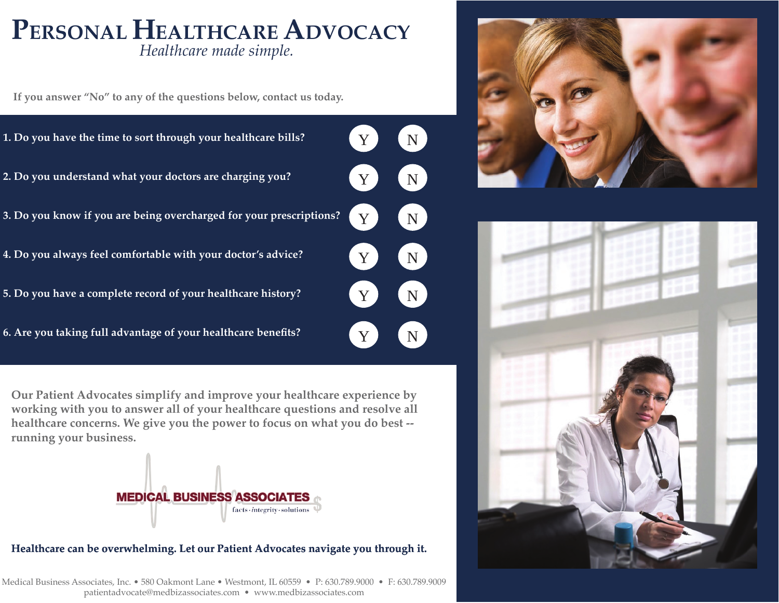# *Healthcare made simple.* **PERSONAL HEALTHCAREADVOCACY**

**If you answer "No" to any of the questions below, contact us today.**



**Our Patient Advocates simplify and improve your healthcare experience by working with you to answer all of your healthcare questions and resolve all healthcare concerns. We give you the power to focus on what you do best - running your business.** 



#### **Healthcare can be overwhelming. Let our Patient Advocates navigate you through it.**

Medical Business Associates, Inc. • 580 Oakmont Lane • Westmont, IL 60559 • P: 630.789.9000 • F: 630.789.9009 patientadvocate@medbizassociates.com • www.medbizassociates.com